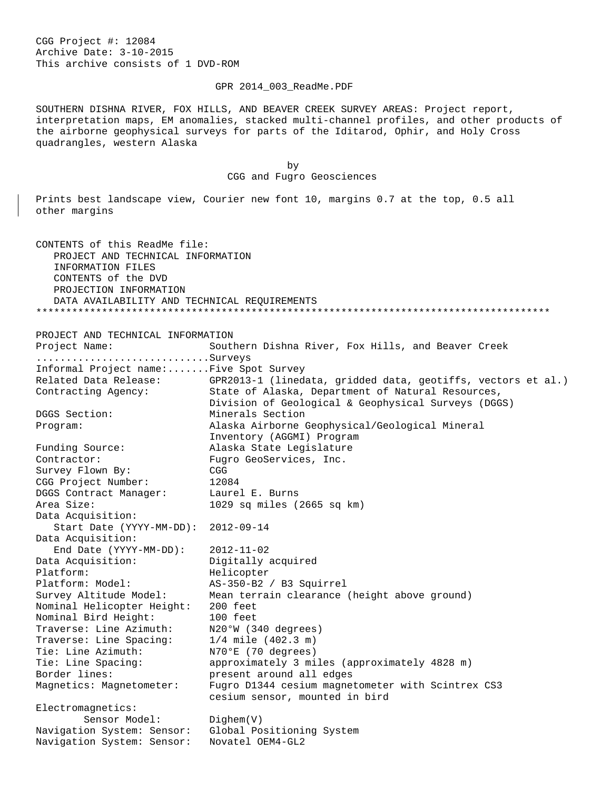CGG Project #: 12084 Archive Date: 3-10-2015 This archive consists of 1 DVD-ROM

GPR 2014\_003\_ReadMe.PDF

SOUTHERN DISHNA RIVER, FOX HILLS, AND BEAVER CREEK SURVEY AREAS: Project report, interpretation maps, EM anomalies, stacked multi-channel profiles, and other products of the airborne geophysical surveys for parts of the Iditarod, Ophir, and Holy Cross quadrangles, western Alaska

 by CGG and Fugro Geosciences

Prints best landscape view, Courier new font 10, margins 0.7 at the top, 0.5 all other margins

CONTENTS of this ReadMe file: PROJECT AND TECHNICAL INFORMATION INFORMATION FILES CONTENTS of the DVD PROJECTION INFORMATION DATA AVAILABILITY AND TECHNICAL REQUIREMENTS \*\*\*\*\*\*\*\*\*\*\*\*\*\*\*\*\*\*\*\*\*\*\*\*\*\*\*\*\*\*\*\*\*\*\*\*\*\*\*\*\*\*\*\*\*\*\*\*\*\*\*\*\*\*\*\*\*\*\*\*\*\*\*\*\*\*\*\*\*\*\*\*\*\*\*\*\*\*\*\*\*\*\*\*\*\*

PROJECT AND TECHNICAL INFORMATION<br>Project Name: South

Southern Dishna River, Fox Hills, and Beaver Creek ...........................Surveys Informal Project name:.......Five Spot Survey Related Data Release: GPR2013-1 (linedata, gridded data, geotiffs, vectors et al.) Contracting Agency: State of Alaska, Department of Natural Resources, Division of Geological & Geophysical Surveys (DGGS)<br>DGGS Section: Minerals Section DGGS Section: Minerals Section<br>Program: Alaska Airborne ( Alaska Airborne Geophysical/Geological Mineral Inventory (AGGMI) Program<br>Funding Source: Alaska State Legislature Funding Source: The Alaska State Legislature<br>Contractor: The Fugro GeoServices, Inc. Contractor: Fugro GeoServices, Inc.<br>Survey Flown By: CGG Survey Flown By: CGG CGG Project Number: 12084 DGGS Contract Manager: Laurel E. Burns<br>Area Size: 1029 sq miles ( 1029 sq miles (2665 sq km) Data Acquisition: Start Date (YYYY-MM-DD): 2012-09-14 Data Acquisition: End Date (YYYY-MM-DD): 2012-11-02 Data Acquisition: Digitally and Digitally and Digitally and Digitally and Digital Platform: Helicopter Platform: Model: AS-350-B2 / B3 Squirrel Survey Altitude Model: Mean terrain clearance (height above ground) Nominal Helicopter Height: 200 feet Nominal Bird Height: 100 feet Traverse: Line Azimuth: N20°W (340 degrees) Traverse: Line Spacing: 1/4 mile (402.3 m) Tie: Line Azimuth: N70°E (70 degrees) Tie: Line Spacing: approximately 3 miles (approximately 4828 m)<br>Border lines: present around all edges present around all edges Magnetics: Magnetometer: Fugro D1344 cesium magnetometer with Scintrex CS3 cesium sensor, mounted in bird Electromagnetics: Sensor Model: Dighem(V) Navigation System: Sensor: Global Positioning System Navigation System: Sensor: Novatel OEM4-GL2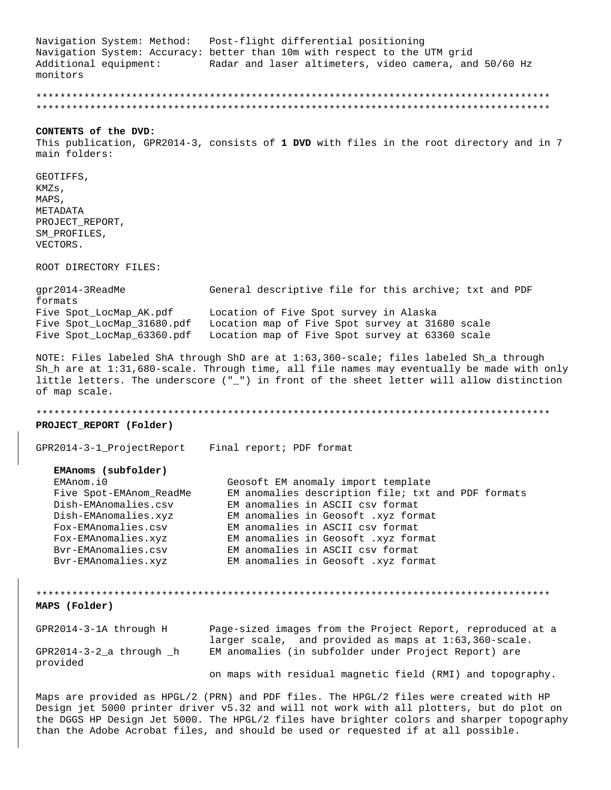Navigation System: Method: Post-flight differential positioning Navigation System: Accuracy: better than 10m with respect to the UTM grid Additional equipment: Radar and laser altimeters, video camera, and 50/60 Hz monitors

## CONTENTS of the DVD:

This publication, GPR2014-3, consists of 1 DVD with files in the root directory and in 7 main folders:

GEOTIFFS, KMZs, MAPS, METADATA PROJECT REPORT, SM PROFILES, VECTORS.

ROOT DIRECTORY FILES:

qpr2014-3ReadMe General descriptive file for this archive; txt and PDF formats Five Spot\_LocMap\_AK.pdf Location of Five Spot survey in Alaska Five Spot LocMap 31680.pdf Location map of Five Spot survey at 31680 scale Five Spot\_LocMap\_63360.pdf Location map of Five Spot survey at 63360 scale

NOTE: Files labeled ShA through ShD are at 1:63,360-scale; files labeled Sh\_a through Sh\_h are at 1:31,680-scale. Through time, all file names may eventually be made with only little letters. The underscore ("\_") in front of the sheet letter will allow distinction of map scale.

PROJECT REPORT (Folder)

GPR2014-3-1\_ProjectReport Final report; PDF format

### EMAnoms (subfolder)

| EMAnom.i0               | Geosoft EM anomaly import template                 |
|-------------------------|----------------------------------------------------|
| Five Spot-EMAnom ReadMe | EM anomalies description file; txt and PDF formats |
| Dish-EMAnomalies.csv    | EM anomalies in ASCII csv format                   |
| Dish-EMAnomalies.xyz    | EM anomalies in Geosoft .xyz format                |
| Fox-EMAnomalies.csv     | EM anomalies in ASCII csv format                   |
| Fox-EMAnomalies.xyz     | EM anomalies in Geosoft .xyz format                |
| Byr-EMAnomalies.csv     | EM anomalies in ASCII csv format                   |
| Bvr-EMAnomalies.xyz     | EM anomalies in Geosoft .xyz format                |

MAPS (Folder) GPR2014-3-1A through H Page-sized images from the Project Report, reproduced at a

|                                       | larger scale, and provided as maps at $1:63,360$ -scale.   |
|---------------------------------------|------------------------------------------------------------|
| $GPR2014-3-2$ a through h<br>provided | EM anomalies (in subfolder under Project Report) are       |
|                                       | on maps with residual magnetic field (RMI) and topography. |

Maps are provided as HPGL/2 (PRN) and PDF files. The HPGL/2 files were created with HP Design jet 5000 printer driver v5.32 and will not work with all plotters, but do plot on the DGGS HP Design Jet 5000. The HPGL/2 files have brighter colors and sharper topography than the Adobe Acrobat files, and should be used or requested if at all possible.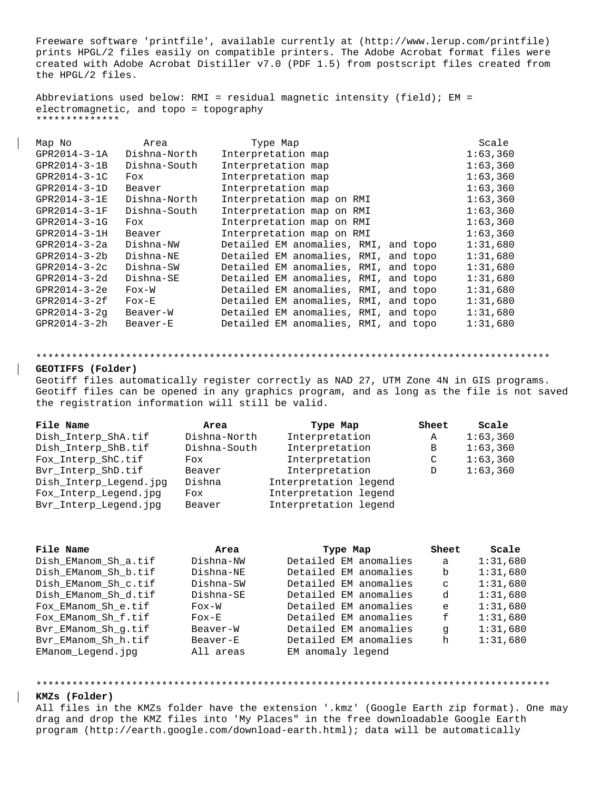Freeware software 'printfile', available currently at (http://www.lerup.com/printfile) prints HPGL/2 files easily on compatible printers. The Adobe Acrobat format files were created with Adobe Acrobat Distiller v7.0 (PDF 1.5) from postscript files created from the HPGL/2 files.

Abbreviations used below: RMI = residual magnetic intensity (field); EM = electromagnetic, and topo = topography \*\*\*\*\*\*\*\*\*\*\*\*\*\*

| Map No             | Area                             | Type Map                             | Scale    |
|--------------------|----------------------------------|--------------------------------------|----------|
| GPR2014-3-1A       | Dishna-North                     | Interpretation map                   | 1:63,360 |
| GPR2014-3-1B       | Dishna-South                     | Interpretation map                   | 1:63,360 |
| GPR2014-3-1C       | Fox                              | Interpretation map                   | 1:63,360 |
| GPR2014-3-1D       | Beaver                           | Interpretation map                   | 1:63,360 |
| GPR2014-3-1E       | Dishna-North                     | Interpretation map on RMI            | 1:63,360 |
| GPR2014-3-1F       | Dishna-South                     | Interpretation map on RMI            | 1:63,360 |
| GPR2014-3-1G       | Fox                              | Interpretation map on RMI            | 1:63,360 |
| GPR2014-3-1H       | Beaver                           | Interpretation map on RMI            | 1:63,360 |
| GPR2014-3-2a       | Dishna-NW                        | Detailed EM anomalies, RMI, and topo | 1:31,680 |
| GPR2014-3-2b       | Dishna-NE                        | Detailed EM anomalies, RMI, and topo | 1:31,680 |
| GPR2014-3-2c       | Dishna-SW                        | Detailed EM anomalies, RMI, and topo | 1:31,680 |
| GPR2014-3-2d       | Dishna-SE                        | Detailed EM anomalies, RMI, and topo | 1:31,680 |
| $GPR2014 - 3 - 2e$ | $F$ $\alpha$ $\times$ $\sim$ $W$ | Detailed EM anomalies, RMI, and topo | 1:31,680 |
| GPR2014-3-2f       | $F$ ox-E                         | Detailed EM anomalies, RMI, and topo | 1:31,680 |
| GPR2014-3-2q       | Beaver-W                         | Detailed EM anomalies, RMI, and topo | 1:31,680 |
| GPR2014-3-2h       | Beaver-E                         | Detailed EM anomalies, RMI, and topo | 1:31,680 |
|                    |                                  |                                      |          |

#### \*\*\*\*\*\*\*\*\*\*\*\*\*\*\*\*\*\*\*\*\*\*\*\*\*\*\*\*\*\*\*\*\*\*\*\*\*\*\*\*\*\*\*\*\*\*\*\*\*\*\*\*\*\*\*\*\*\*\*\*\*\*\*\*\*\*\*\*\*\*\*\*\*\*\*\*\*\*\*\*\*\*\*\*\*\*

# **GEOTIFFS (Folder)**

Geotiff files automatically register correctly as NAD 27, UTM Zone 4N in GIS programs. Geotiff files can be opened in any graphics program, and as long as the file is not saved the registration information will still be valid.

| File Name              | Area         | Type Map              | Sheet | Scale    |
|------------------------|--------------|-----------------------|-------|----------|
| Dish Interp ShA.tif    | Dishna-North | Interpretation        | Α     | 1:63,360 |
| Dish_Interp_ShB.tif    | Dishna-South | Interpretation        | В     | 1:63,360 |
| Fox_Interp_ShC.tif     | Fox          | Interpretation        | C     | 1:63,360 |
| Byr Interp ShD.tif     | Beaver       | Interpretation        | D     | 1:63,360 |
| Dish_Interp_Legend.jpg | Dishna       | Interpretation legend |       |          |
| Fox_Interp_Legend.jpg  | Fox          | Interpretation legend |       |          |
| Bvr_Interp_Legend.jpg  | Beaver       | Interpretation legend |       |          |

| File Name            | Area      | Type Map              | Sheet       | Scale    |
|----------------------|-----------|-----------------------|-------------|----------|
| Dish EManom Sh a.tif | Dishna-NW | Detailed EM anomalies | a           | 1:31,680 |
| Dish EManom Sh b.tif | Dishna-NE | Detailed EM anomalies | b           | 1:31.680 |
| Dish EManom Sh c.tif | Dishna-SW | Detailed EM anomalies | $\mathbf C$ | 1:31.680 |
| Dish EManom Sh d.tif | Dishna-SE | Detailed EM anomalies | d           | 1:31.680 |
| Fox EManom Sh e.tif  | $F$ ox-W  | Detailed EM anomalies | e           | 1:31,680 |
| Fox EManom Sh f.tif  | $F$ ox-E  | Detailed EM anomalies | f           | 1:31.680 |
| Byr EManom Sh q.tif  | Beaver-W  | Detailed EM anomalies | q           | 1:31.680 |
| Byr EManom Sh h.tif  | Beaver-E  | Detailed EM anomalies | h           | 1:31.680 |
| EManom_Legend.jpq    | All areas | EM anomaly legend     |             |          |

#### \*\*\*\*\*\*\*\*\*\*\*\*\*\*\*\*\*\*\*\*\*\*\*\*\*\*\*\*\*\*\*\*\*\*\*\*\*\*\*\*\*\*\*\*\*\*\*\*\*\*\*\*\*\*\*\*\*\*\*\*\*\*\*\*\*\*\*\*\*\*\*\*\*\*\*\*\*\*\*\*\*\*\*\*\*\*

## **KMZs (Folder)**

All files in the KMZs folder have the extension '.kmz' (Google Earth zip format). One may drag and drop the KMZ files into 'My Places" in the free downloadable Google Earth program (http://earth.google.com/download-earth.html); data will be automatically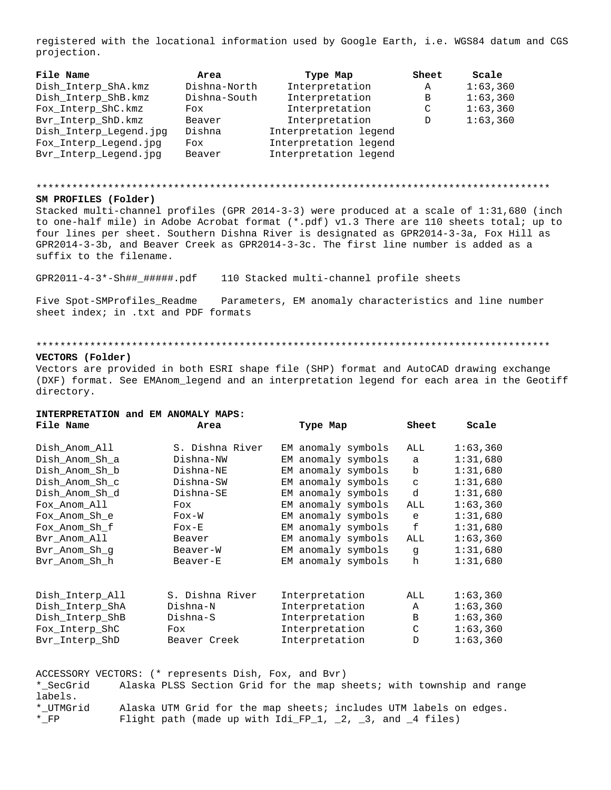registered with the locational information used by Google Earth, i.e. WGS84 datum and CGS projection.

| <b>File Name</b>       | Area         | Type Map              | Sheet | Scale    |
|------------------------|--------------|-----------------------|-------|----------|
| Dish_Interp_ShA.kmz    | Dishna-North | Interpretation        | A     | 1:63,360 |
| Dish Interp ShB.kmz    | Dishna-South | Interpretation        | B     | 1:63,360 |
| Fox_Interp_ShC.kmz     | Fox          | Interpretation        | C     | 1:63,360 |
| Bvr_Interp_ShD.kmz     | Beaver       | Interpretation        | D     | 1:63,360 |
| Dish_Interp_Legend.jpg | Dishna       | Interpretation legend |       |          |
| Fox_Interp_Legend.jpg  | Fox          | Interpretation legend |       |          |
| Bvr_Interp_Legend.jpg  | Beaver       | Interpretation legend |       |          |

### 

### SM PROFILES (Folder)

Stacked multi-channel profiles (GPR 2014-3-3) were produced at a scale of 1:31,680 (inch to one-half mile) in Adobe Acrobat format (\*.pdf) v1.3 There are 110 sheets total; up to four lines per sheet. Southern Dishna River is designated as GPR2014-3-3a, Fox Hill as GPR2014-3-3b, and Beaver Creek as GPR2014-3-3c. The first line number is added as a suffix to the filename.

GPR2011-4-3\*-Sh##\_######.pdf 110 Stacked multi-channel profile sheets

Five Spot-SMProfiles\_Readme Parameters, EM anomaly characteristics and line number sheet index; in .txt and PDF formats

#### 

### VECTORS (Folder)

Vectors are provided in both ESRI shape file (SHP) format and AutoCAD drawing exchange (DXF) format. See EMAnom\_legend and an interpretation legend for each area in the Geotiff directory.

Type Map Sheet Scale

#### INTERPRETATION and EM ANOMALY MAPS: File Name Area

| Dish Anom All   | S. Dishna River | EM anomaly symbols | ALL           | 1:63,360 |
|-----------------|-----------------|--------------------|---------------|----------|
| Dish Anom Sh a  | Dishna-NW       | EM anomaly symbols | a             | 1:31,680 |
| Dish Anom Sh b  | Dishna-NE       | EM anomaly symbols | b             | 1:31,680 |
| Dish Anom Sh c  | Dishna-SW       | EM anomaly symbols | $\mathbf{C}$  | 1:31,680 |
| Dish Anom Sh d  | Dishna-SE       | EM anomaly symbols | d             | 1:31,680 |
| Fox Anom All    | Fox             | EM anomaly symbols | ALL           | 1:63,360 |
| Fox Anom Sh e   | $F$ ox-W        | EM anomaly symbols | e             | 1:31,680 |
| Fox Anom Sh f   | $F$ ox-E        | EM anomaly symbols | f             | 1:31,680 |
| Byr Anom All    | Beaver          | EM anomaly symbols | ALL           | 1:63,360 |
| Byr Anom Sh q   | Beaver-W        | EM anomaly symbols | q             | 1:31,680 |
| Byr Anom Sh h   | Beaver-E        | EM anomaly symbols | h             | 1:31,680 |
| Dish Interp All | S. Dishna River | Interpretation     | ALL           | 1:63,360 |
| Dish Interp ShA | Dishna-N        | Interpretation     | A             | 1:63,360 |
| Dish Interp ShB | Dishna-S        | Interpretation     | B             | 1:63,360 |
| Fox Interp ShC  | Fox             | Interpretation     | $\mathcal{C}$ | 1:63,360 |
| Byr Interp ShD  | Beaver Creek    | Interpretation     | D             | 1:63,360 |
|                 |                 |                    |               |          |

ACCESSORY VECTORS: (\* represents Dish, Fox, and Bvr) \* SecGrid Alaska PLSS Section Grid for the map sheets; with township and range labels. \*\_UTMGrid Alaska UTM Grid for the map sheets; includes UTM labels on edges.  $^*$  FP Flight path (made up with  $Idi_FP_1$ ,  $2$ ,  $3$ , and  $4$  files)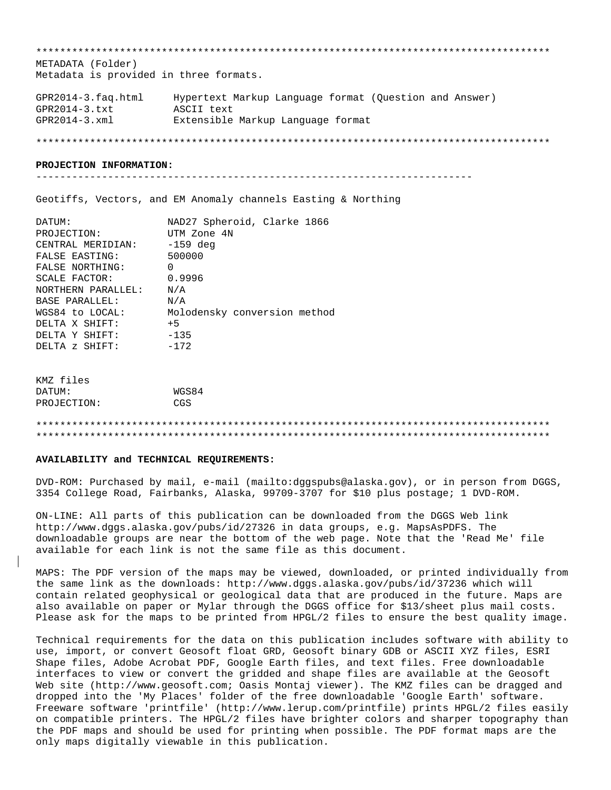METADATA (Folder) Metadata is provided in three formats. Hypertext Markup Language format (Question and Answer)  $GPR2014-3.faq.html$  $GPR2014-3.txt$ ASCII text  $GPR2014-3.xml$ Extensible Markup Language format

#### PROJECTION INFORMATION:

Geotiffs, Vectors, and EM Anomaly channels Easting & Northing

| DATUM:             | NAD27 Spheroid, Clarke 1866  |
|--------------------|------------------------------|
| PROJECTION:        | UTM Zone 4N                  |
| CENTRAL MERIDIAN:  | $-159$ deg                   |
| FALSE EASTING:     | 500000                       |
| FALSE NORTHING:    | 0                            |
| SCALE FACTOR:      | 0.9996                       |
| NORTHERN PARALLEL: | N/A                          |
| BASE PARALLEL:     | N/A                          |
| WGS84 to LOCAL:    | Molodensky conversion method |
| DELTA X SHIFT:     | $+5$                         |
| DELTA Y SHIFT:     | $-135$                       |
| DELTA z SHIFT:     | $-172$                       |

| KMZ tiles   |       |
|-------------|-------|
| DATUM:      | WGS84 |
| PROJECTION: | CGS   |

### AVAILABILITY and TECHNICAL REQUIREMENTS:

DVD-ROM: Purchased by mail, e-mail (mailto:dggspubs@alaska.gov), or in person from DGGS, 3354 College Road, Fairbanks, Alaska, 99709-3707 for \$10 plus postage; 1 DVD-ROM.

ON-LINE: All parts of this publication can be downloaded from the DGGS Web link http://www.dggs.alaska.gov/pubs/id/27326 in data groups, e.g. MapsAsPDFS. The downloadable groups are near the bottom of the web page. Note that the 'Read Me' file available for each link is not the same file as this document.

MAPS: The PDF version of the maps may be viewed, downloaded, or printed individually from the same link as the downloads: http://www.dggs.alaska.gov/pubs/id/37236 which will contain related geophysical or geological data that are produced in the future. Maps are also available on paper or Mylar through the DGGS office for \$13/sheet plus mail costs. Please ask for the maps to be printed from HPGL/2 files to ensure the best quality image.

Technical requirements for the data on this publication includes software with ability to use, import, or convert Geosoft float GRD, Geosoft binary GDB or ASCII XYZ files, ESRI Shape files, Adobe Acrobat PDF, Google Earth files, and text files. Free downloadable interfaces to view or convert the gridded and shape files are available at the Geosoft Web site (http://www.geosoft.com; Oasis Montaj viewer). The KMZ files can be dragged and dropped into the 'My Places' folder of the free downloadable 'Google Earth' software. Freeware software 'printfile' (http://www.lerup.com/printfile) prints HPGL/2 files easily on compatible printers. The HPGL/2 files have brighter colors and sharper topography than the PDF maps and should be used for printing when possible. The PDF format maps are the only maps digitally viewable in this publication.